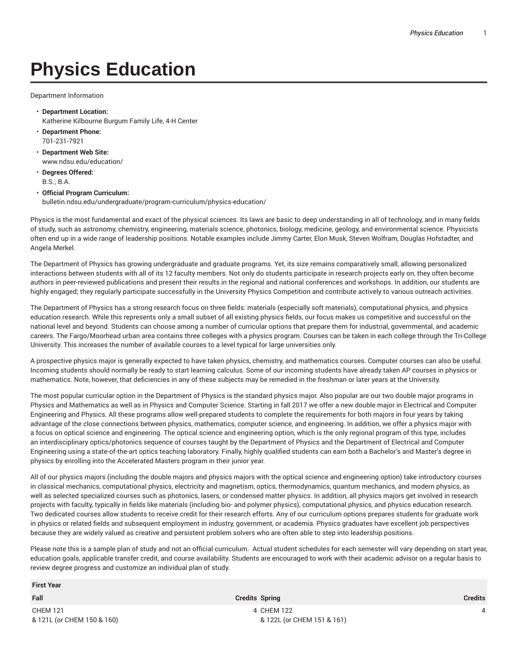## **Physics Education**

Department Information

- **Department Location:** Katherine Kilbourne Burgum Family Life, 4-H Center
- **Department Phone:** 701-231-7921
- **Department Web Site:** www.ndsu.edu/education/
- **Degrees Offered:** B.S.; B.A.

## • **Official Program Curriculum:** bulletin.ndsu.edu/undergraduate/program-curriculum/physics-education/

Physics is the most fundamental and exact of the physical sciences. Its laws are basic to deep understanding in all of technology, and in many fields of study, such as astronomy, chemistry, engineering, materials science, photonics, biology, medicine, geology, and environmental science. Physicists often end up in a wide range of leadership positions. Notable examples include Jimmy Carter, Elon Musk, Steven Wolfram, Douglas Hofstadter, and Angela Merkel.

The Department of Physics has growing undergraduate and graduate programs. Yet, its size remains comparatively small, allowing personalized interactions between students with all of its 12 faculty members. Not only do students participate in research projects early on, they often become authors in peer-reviewed publications and present their results in the regional and national conferences and workshops. In addition, our students are highly engaged; they regularly participate successfully in the University Physics Competition and contribute actively to various outreach activities.

The Department of Physics has a strong research focus on three fields: materials (especially soft materials), computational physics, and physics education research. While this represents only a small subset of all existing physics fields, our focus makes us competitive and successful on the national level and beyond. Students can choose among a number of curricular options that prepare them for industrial, governmental, and academic careers. The Fargo/Moorhead urban area contains three colleges with a physics program. Courses can be taken in each college through the Tri-College University. This increases the number of available courses to a level typical for large universities only.

A prospective physics major is generally expected to have taken physics, chemistry, and mathematics courses. Computer courses can also be useful. Incoming students should normally be ready to start learning calculus. Some of our incoming students have already taken AP courses in physics or mathematics. Note, however, that deficiencies in any of these subjects may be remedied in the freshman or later years at the University.

The most popular curricular option in the Department of Physics is the standard physics major. Also popular are our two double major programs in Physics and Mathematics as well as in Physics and Computer Science. Starting in fall 2017 we offer a new double major in Electrical and Computer Engineering and Physics. All these programs allow well-prepared students to complete the requirements for both majors in four years by taking advantage of the close connections between physics, mathematics, computer science, and engineering. In addition, we offer a physics major with a focus on optical science and engineering. The optical science and engineering option, which is the only regional program of this type, includes an interdisciplinary optics/photonics sequence of courses taught by the Department of Physics and the Department of Electrical and Computer Engineering using a state-of-the-art optics teaching laboratory. Finally, highly qualified students can earn both a Bachelor's and Master's degree in physics by enrolling into the Accelerated Masters program in their junior year.

All of our physics majors (including the double majors and physics majors with the optical science and engineering option) take introductory courses in classical mechanics, computational physics, electricity and magnetism, optics, thermodynamics, quantum mechanics, and modern physics, as well as selected specialized courses such as photonics, lasers, or condensed matter physics. In addition, all physics majors get involved in research projects with faculty, typically in fields like materials (including bio- and polymer physics), computational physics, and physics education research. Two dedicated courses allow students to receive credit for their research efforts. Any of our curriculum options prepares students for graduate work in physics or related fields and subsequent employment in industry, government, or academia. Physics graduates have excellent job perspectives because they are widely valued as creative and persistent problem solvers who are often able to step into leadership positions.

Please note this is a sample plan of study and not an official curriculum. Actual student schedules for each semester will vary depending on start year, education goals, applicable transfer credit, and course availability. Students are encouraged to work with their academic advisor on a regular basis to review degree progress and customize an individual plan of study.

| <b>First Year</b>                             |                                          |         |
|-----------------------------------------------|------------------------------------------|---------|
| Fall                                          | <b>Credits Spring</b>                    | Credits |
| <b>CHEM 121</b><br>& 121L (or CHEM 150 & 160) | 4 CHEM 122<br>& 122L (or CHEM 151 & 161) | 4       |
|                                               |                                          |         |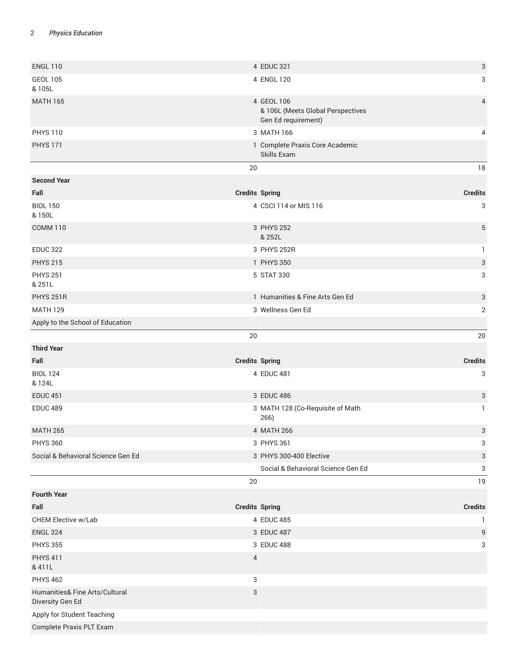## 2 *Physics Education*

| <b>ENGL 110</b>                                    | 4 EDUC 321                                                             | $\ensuremath{\mathsf{3}}$ |
|----------------------------------------------------|------------------------------------------------------------------------|---------------------------|
| <b>GEOL 105</b><br>& 105L                          | 4 ENGL 120                                                             | 3                         |
| <b>MATH 165</b>                                    | 4 GEOL 106<br>& 106L (Meets Global Perspectives<br>Gen Ed requirement) | 4                         |
| <b>PHYS 110</b>                                    | 3 MATH 166                                                             | 4                         |
| <b>PHYS 171</b>                                    | 1 Complete Praxis Core Academic<br>Skills Exam                         |                           |
|                                                    | 20                                                                     | $18\,$                    |
| <b>Second Year</b>                                 |                                                                        |                           |
| Fall                                               | <b>Credits Spring</b>                                                  | <b>Credits</b>            |
| <b>BIOL 150</b><br>& 150L                          | 4 CSCI 114 or MIS 116                                                  | 3                         |
| <b>COMM 110</b>                                    | 3 PHYS 252<br>& 252L                                                   | 5                         |
| <b>EDUC 322</b>                                    | 3 PHYS 252R                                                            | $\mathbf{1}$              |
| <b>PHYS 215</b>                                    | 1 PHYS 350                                                             | 3                         |
| <b>PHYS 251</b><br>& 251L                          | 5 STAT 330                                                             | 3                         |
| <b>PHYS 251R</b>                                   | 1 Humanities & Fine Arts Gen Ed                                        | 3                         |
| <b>MATH 129</b>                                    | 3 Wellness Gen Ed                                                      | $\overline{2}$            |
| Apply to the School of Education                   |                                                                        |                           |
|                                                    | 20                                                                     | 20                        |
| <b>Third Year</b>                                  |                                                                        |                           |
| Fall                                               | <b>Credits Spring</b>                                                  | <b>Credits</b>            |
| <b>BIOL 124</b><br>& 124L                          | 4 EDUC 481                                                             | 3                         |
| <b>EDUC 451</b>                                    | 3 EDUC 486                                                             | 3                         |
| <b>EDUC 489</b>                                    | 3 MATH 128 (Co-Requisite of Math<br>266)                               | $\mathbf{1}$              |
| <b>MATH 265</b>                                    | 4 MATH 266                                                             | 3                         |
| <b>PHYS 360</b>                                    | 3 PHYS 361                                                             | 3                         |
| Social & Behavioral Science Gen Ed                 | 3 PHYS 300-400 Elective                                                | 3                         |
|                                                    | Social & Behavioral Science Gen Ed                                     | 3                         |
|                                                    | 20                                                                     | 19                        |
| <b>Fourth Year</b>                                 |                                                                        |                           |
| Fall                                               | <b>Credits Spring</b>                                                  | <b>Credits</b>            |
| CHEM Elective w/Lab                                | 4 EDUC 485                                                             | $\mathbf{1}$              |
| <b>ENGL 324</b>                                    | 3 EDUC 487                                                             | 9                         |
| <b>PHYS 355</b>                                    | 3 EDUC 488                                                             | 3                         |
| <b>PHYS 411</b><br>& 411L                          | 4                                                                      |                           |
| <b>PHYS 462</b>                                    | 3                                                                      |                           |
| Humanities& Fine Arts/Cultural<br>Diversity Gen Ed | 3                                                                      |                           |
| Apply for Student Teaching                         |                                                                        |                           |
| Complete Praxis PLT Exam                           |                                                                        |                           |